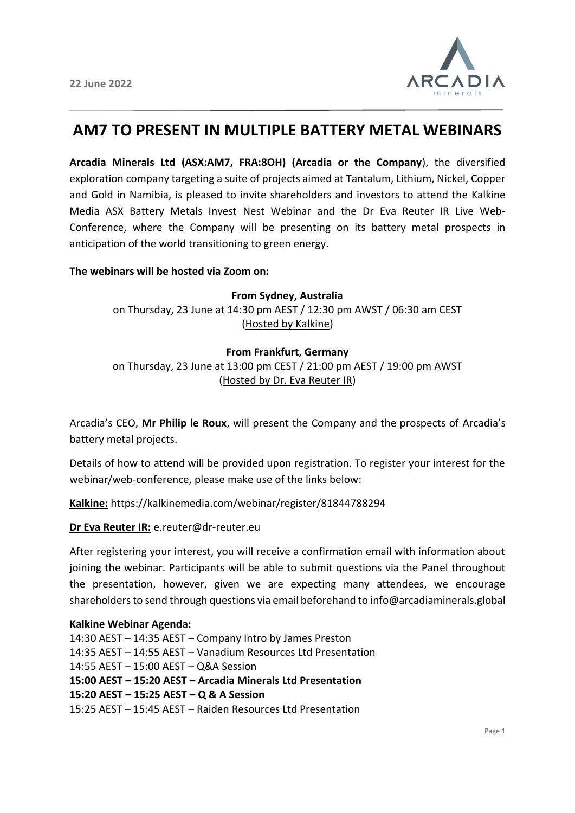

# **AM7 TO PRESENT IN MULTIPLE BATTERY METAL WEBINARS**

**Arcadia Minerals Ltd (ASX:AM7, FRA:8OH) (Arcadia or the Company**), the diversified exploration company targeting a suite of projects aimed at Tantalum, Lithium, Nickel, Copper and Gold in Namibia, is pleased to invite shareholders and investors to attend the Kalkine Media ASX Battery Metals Invest Nest Webinar and the Dr Eva Reuter IR Live Web-Conference, where the Company will be presenting on its battery metal prospects in anticipation of the world transitioning to green energy.

### **The webinars will be hosted via Zoom on:**

**From Sydney, Australia**  on Thursday, 23 June at 14:30 pm AEST / 12:30 pm AWST / 06:30 am CEST (Hosted by Kalkine)

### **From Frankfurt, Germany**

on Thursday, 23 June at 13:00 pm CEST / 21:00 pm AEST / 19:00 pm AWST (Hosted by Dr. Eva Reuter IR)

Arcadia's CEO, **Mr Philip le Roux**, will present the Company and the prospects of Arcadia's battery metal projects.

Details of how to attend will be provided upon registration. To register your interest for the webinar/web-conference, please make use of the links below:

**Kalkine:** https://kalkinemedia.com/webinar/register/81844788294

**Dr Eva Reuter IR:** e.reuter@dr-reuter.eu

After registering your interest, you will receive a confirmation email with information about joining the webinar. Participants will be able to submit questions via the Panel throughout the presentation, however, given we are expecting many attendees, we encourage shareholders to send through questions via email beforehand to info@arcadiaminerals.global

## **Kalkine Webinar Agenda:**

14:30 AEST – 14:35 AEST – Company Intro by James Preston 14:35 AEST – 14:55 AEST – Vanadium Resources Ltd Presentation 14:55 AEST – 15:00 AEST – Q&A Session **15:00 AEST – 15:20 AEST – Arcadia Minerals Ltd Presentation 15:20 AEST – 15:25 AEST – Q & A Session** 15:25 AEST – 15:45 AEST – Raiden Resources Ltd Presentation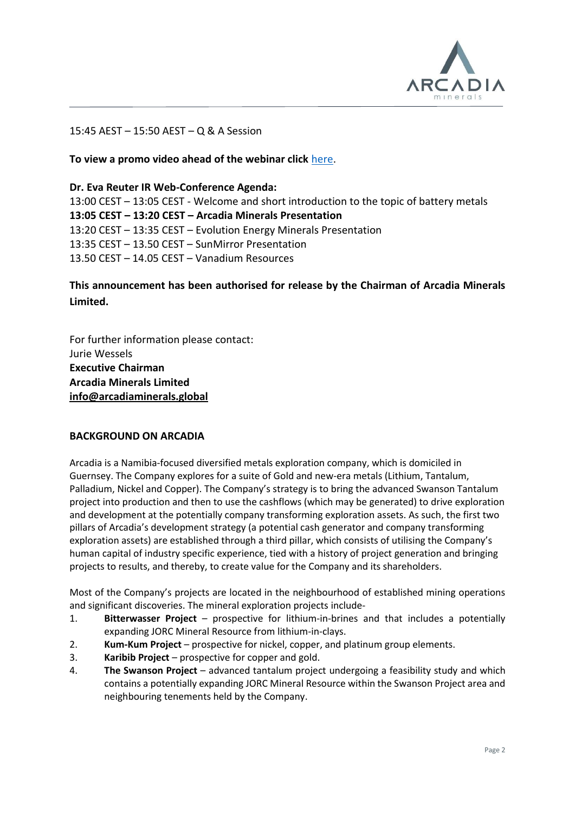

### 15:45 AEST – 15:50 AEST – Q & A Session

### **To view a promo video ahead of the webinar click** [here.](https://www.youtube.com/watch?v=jq0HIrEWXgs)

## **Dr. Eva Reuter IR Web-Conference Agenda:** 13:00 CEST – 13:05 CEST - Welcome and short introduction to the topic of battery metals **13:05 CEST – 13:20 CEST – Arcadia Minerals Presentation**  13:20 CEST – 13:35 CEST – Evolution Energy Minerals Presentation 13:35 CEST – 13.50 CEST – SunMirror Presentation 13.50 CEST – 14.05 CEST – Vanadium Resources

# **This announcement has been authorised for release by the Chairman of Arcadia Minerals Limited.**

For further information please contact: Jurie Wessels **Executive Chairman Arcadia Minerals Limited [info@arcadiaminerals.global](mailto:info@arcadiaminerals.global)**

#### **BACKGROUND ON ARCADIA**

Arcadia is a Namibia-focused diversified metals exploration company, which is domiciled in Guernsey. The Company explores for a suite of Gold and new-era metals (Lithium, Tantalum, Palladium, Nickel and Copper). The Company's strategy is to bring the advanced Swanson Tantalum project into production and then to use the cashflows (which may be generated) to drive exploration and development at the potentially company transforming exploration assets. As such, the first two pillars of Arcadia's development strategy (a potential cash generator and company transforming exploration assets) are established through a third pillar, which consists of utilising the Company's human capital of industry specific experience, tied with a history of project generation and bringing projects to results, and thereby, to create value for the Company and its shareholders.

Most of the Company's projects are located in the neighbourhood of established mining operations and significant discoveries. The mineral exploration projects include-

- 1. **Bitterwasser Project** prospective for lithium-in-brines and that includes a potentially expanding JORC Mineral Resource from lithium-in-clays.
- 2. **Kum-Kum Project** prospective for nickel, copper, and platinum group elements.
- 3. **Karibib Project** prospective for copper and gold.
- 4. **The Swanson Project** advanced tantalum project undergoing a feasibility study and which contains a potentially expanding JORC Mineral Resource within the Swanson Project area and neighbouring tenements held by the Company.